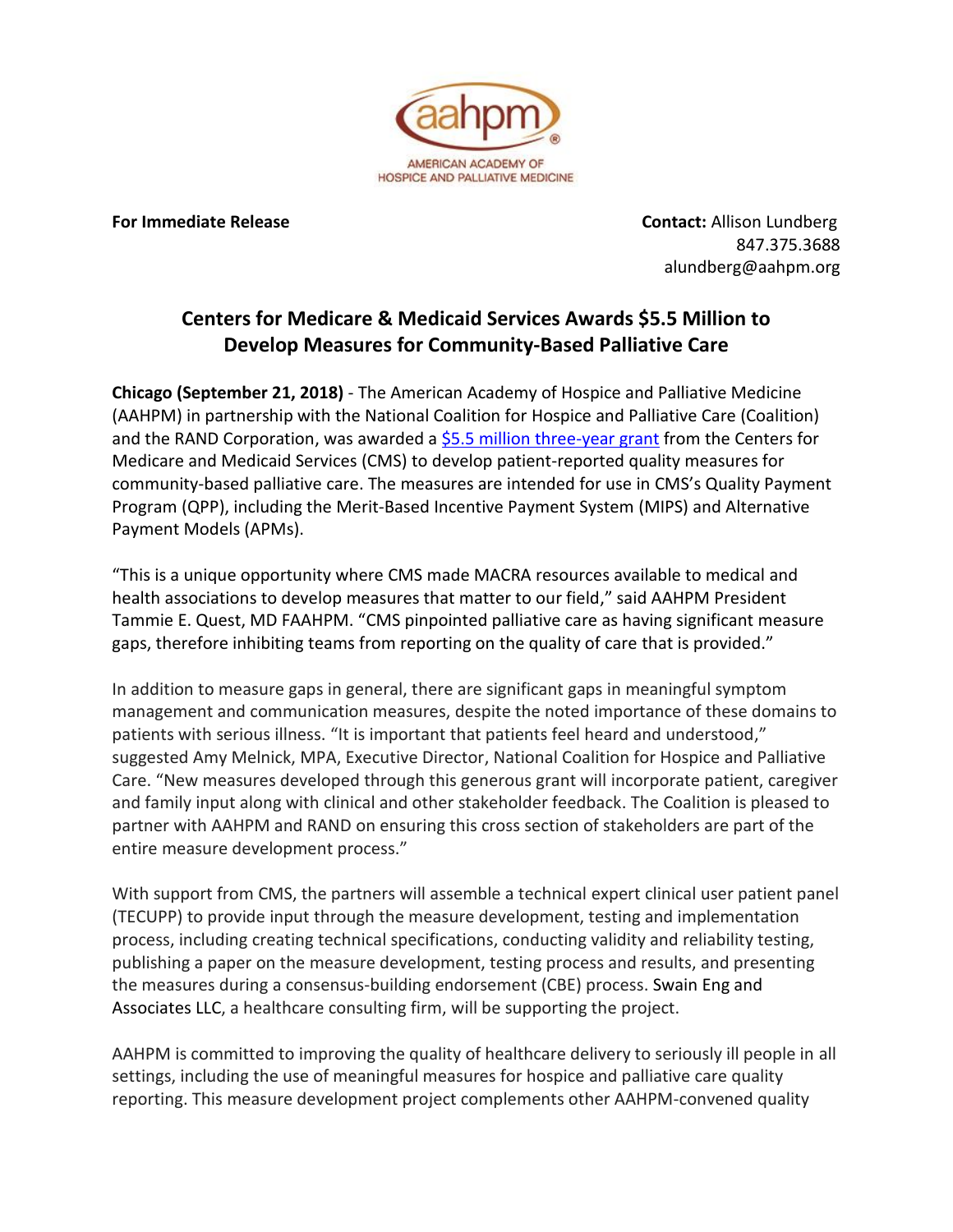

**For Immediate Release Contact: Allison Lundberg Contact: Allison Lundberg** 847.375.3688 alundberg@aahpm.org

## **Centers for Medicare & Medicaid Services Awards \$5.5 Million to Develop Measures for Community-Based Palliative Care**

**Chicago (September 21, 2018)** - The American Academy of Hospice and Palliative Medicine (AAHPM) in partnership with the National Coalition for Hospice and Palliative Care (Coalition) and the RAND Corporation, was awarded a \$5.5 [million three-year grant](https://www.cms.gov/Medicare/Quality-Initiatives-Patient-Assessment-Instruments/Value-Based-Programs/MACRA-MIPS-and-APMs/9-21-18-QPP-Measures-Cooperative-Agreement-Awardees.pdf) from the Centers for Medicare and Medicaid Services (CMS) to develop patient-reported quality measures for community-based palliative care. The measures are intended for use in CMS's Quality Payment Program (QPP), including the Merit-Based Incentive Payment System (MIPS) and Alternative Payment Models (APMs).

"This is a unique opportunity where CMS made MACRA resources available to medical and health associations to develop measures that matter to our field," said AAHPM President Tammie E. Quest, MD FAAHPM. "CMS pinpointed palliative care as having significant measure gaps, therefore inhibiting teams from reporting on the quality of care that is provided."

In addition to measure gaps in general, there are significant gaps in meaningful symptom management and communication measures, despite the noted importance of these domains to patients with serious illness. "It is important that patients feel heard and understood," suggested Amy Melnick, MPA, Executive Director, National Coalition for Hospice and Palliative Care. "New measures developed through this generous grant will incorporate patient, caregiver and family input along with clinical and other stakeholder feedback. The Coalition is pleased to partner with AAHPM and RAND on ensuring this cross section of stakeholders are part of the entire measure development process."

With support from CMS, the partners will assemble a technical expert clinical user patient panel (TECUPP) to provide input through the measure development, testing and implementation process, including creating technical specifications, conducting validity and reliability testing, publishing a paper on the measure development, testing process and results, and presenting the measures during a consensus-building endorsement (CBE) process. Swain Eng and Associates LLC, a healthcare consulting firm, will be supporting the project.

AAHPM is committed to improving the quality of healthcare delivery to seriously ill people in all settings, including the use of meaningful measures for hospice and palliative care quality reporting. This measure development project complements other AAHPM-convened quality